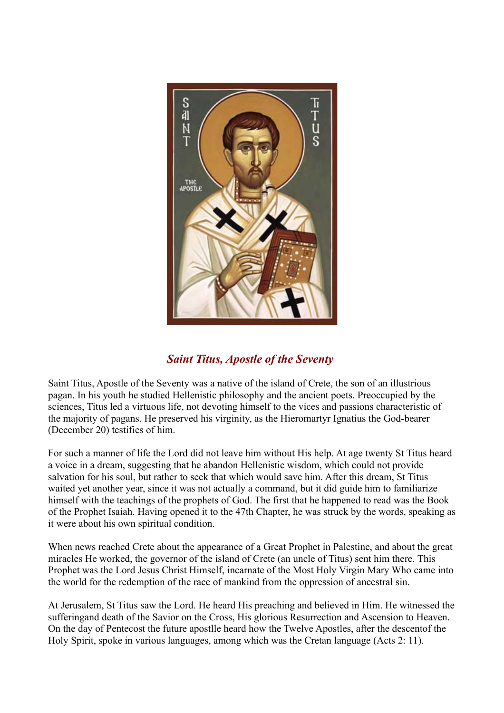

## *Saint Titus, Apostle of the Seventy*

Saint Titus, Apostle of the Seventy was a native of the island of Crete, the son of an illustrious pagan. In his youth he studied Hellenistic philosophy and the ancient poets. Preoccupied by the sciences, Titus led a virtuous life, not devoting himself to the vices and passions characteristic of the majority of pagans. He preserved his virginity, as the Hieromartyr Ignatius the God-bearer (December 20) testifies of him.

For such a manner of life the Lord did not leave him without His help. At age twenty St Titus heard a voice in a dream, suggesting that he abandon Hellenistic wisdom, which could not provide salvation for his soul, but rather to seek that which would save him. After this dream, St Titus waited yet another year, since it was not actually a command, but it did guide him to familiarize himself with the teachings of the prophets of God. The first that he happened to read was the Book of the Prophet Isaiah. Having opened it to the 47th Chapter, he was struck by the words, speaking as it were about his own spiritual condition.

When news reached Crete about the appearance of a Great Prophet in Palestine, and about the great miracles He worked, the governor of the island of Crete (an uncle of Titus) sent him there. This Prophet was the Lord Jesus Christ Himself, incarnate of the Most Holy Virgin Mary Who came into the world for the redemption of the race of mankind from the oppression of ancestral sin.

At Jerusalem, St Titus saw the Lord. He heard His preaching and believed in Him. He witnessed the sufferingand death of the Savior on the Cross, His glorious Resurrection and Ascension to Heaven. On the day of Pentecost the future apostlle heard how the Twelve Apostles, after the descentof the Holy Spirit, spoke in various languages, among which was the Cretan language (Acts 2: 11).